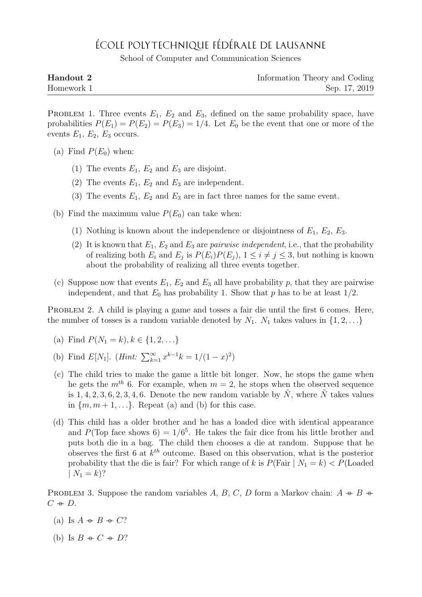## ÉCOLE POLYTECHNIQUE FÉDÉRALE DE LAUSANNE

School of Computer and Communication Sciences

| Handout 2  | Information Theory and Coding |
|------------|-------------------------------|
| Homework 1 | Sep. 17, 2019                 |

PROBLEM 1. Three events  $E_1, E_2$  and  $E_3$ , defined on the same probability space, have probabilities  $P(E_1) = P(E_2) = P(E_3) = 1/4$ . Let  $E_0$  be the event that one or more of the events  $E_1, E_2, E_3$  occurs.

- (a) Find  $P(E_0)$  when:
	- (1) The events  $E_1, E_2$  and  $E_3$  are disjoint.
	- (2) The events  $E_1, E_2$  and  $E_3$  are independent.
	- (3) The events  $E_1, E_2$  and  $E_3$  are in fact three names for the same event.
- (b) Find the maximum value  $P(E_0)$  can take when:
	- (1) Nothing is known about the independence or disjointness of  $E_1, E_2, E_3$ .
	- (2) It is known that  $E_1, E_2$  and  $E_3$  are *pairwise independent*, i.e., that the probability of realizing both  $E_i$  and  $E_j$  is  $P(E_i)P(E_j)$ ,  $1 \leq i \neq j \leq 3$ , but nothing is known about the probability of realizing all three events together.
- (c) Suppose now that events  $E_1, E_2$  and  $E_3$  all have probability p, that they are pairwise independent, and that  $E_0$  has probability 1. Show that p has to be at least  $1/2$ .

PROBLEM 2. A child is playing a game and tosses a fair die until the first 6 comes. Here, the number of tosses is a random variable denoted by  $N_1$ .  $N_1$  takes values in  $\{1, 2, \ldots\}$ 

- (a) Find  $P(N_1 = k), k \in \{1, 2, \ldots\}$
- (b) Find  $E[N_1]$ . (*Hint*:  $\sum_{k=1}^{\infty} x^{k-1}k = 1/(1-x)^2$ )
- (c) The child tries to make the game a little bit longer. Now, he stops the game when he gets the  $m^{th}$  6. For example, when  $m = 2$ , he stops when the observed sequence is 1, 4, 2, 3, 6, 2, 3, 4, 6. Denote the new random variable by  $N$ , where  $N$  takes values in  $\{m, m+1, \ldots\}$ . Repeat (a) and (b) for this case.
- (d) This child has a older brother and he has a loaded dice with identical appearance and  $P(\text{Top face shows } 6) = 1/6^5$ . He takes the fair dice from his little brother and puts both die in a bag. The child then chooses a die at random. Suppose that he observes the first 6 at  $k^{th}$  outcome. Based on this observation, what is the posterior probability that the die is fair? For which range of k is  $P(\text{Fair} \mid N_1 = k) < P(\text{Loaded})$  $| N_1 = k$ ?

PROBLEM 3. Suppose the random variables A, B, C, D form a Markov chain:  $A \rightarrow B \rightarrow \neg$  $C \oplus D$ .

- (a) Is  $A \rightarrow B \rightarrow C$ ?
- (b) Is  $B \oplus C \oplus D?$